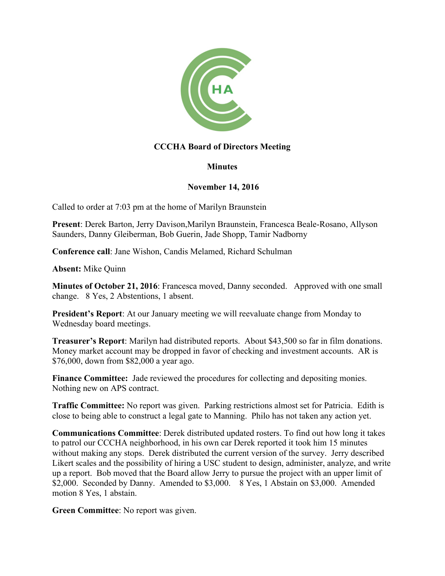

## **CCCHA Board of Directors Meeting**

## **Minutes**

## **November 14, 2016**

Called to order at 7:03 pm at the home of Marilyn Braunstein

**Present**: Derek Barton, Jerry Davison,Marilyn Braunstein, Francesca Beale-Rosano, Allyson Saunders, Danny Gleiberman, Bob Guerin, Jade Shopp, Tamir Nadborny

**Conference call**: Jane Wishon, Candis Melamed, Richard Schulman

**Absent:** Mike Quinn

**Minutes of October 21, 2016**: Francesca moved, Danny seconded. Approved with one small change. 8 Yes, 2 Abstentions, 1 absent.

**President's Report**: At our January meeting we will reevaluate change from Monday to Wednesday board meetings.

**Treasurer's Report**: Marilyn had distributed reports. About \$43,500 so far in film donations. Money market account may be dropped in favor of checking and investment accounts. AR is \$76,000, down from \$82,000 a year ago.

**Finance Committee:** Jade reviewed the procedures for collecting and depositing monies. Nothing new on APS contract.

**Traffic Committee:** No report was given. Parking restrictions almost set for Patricia. Edith is close to being able to construct a legal gate to Manning. Philo has not taken any action yet.

**Communications Committee**: Derek distributed updated rosters. To find out how long it takes to patrol our CCCHA neighborhood, in his own car Derek reported it took him 15 minutes without making any stops. Derek distributed the current version of the survey. Jerry described Likert scales and the possibility of hiring a USC student to design, administer, analyze, and write up a report. Bob moved that the Board allow Jerry to pursue the project with an upper limit of \$2,000. Seconded by Danny. Amended to \$3,000. 8 Yes, 1 Abstain on \$3,000. Amended motion 8 Yes, 1 abstain.

**Green Committee**: No report was given.